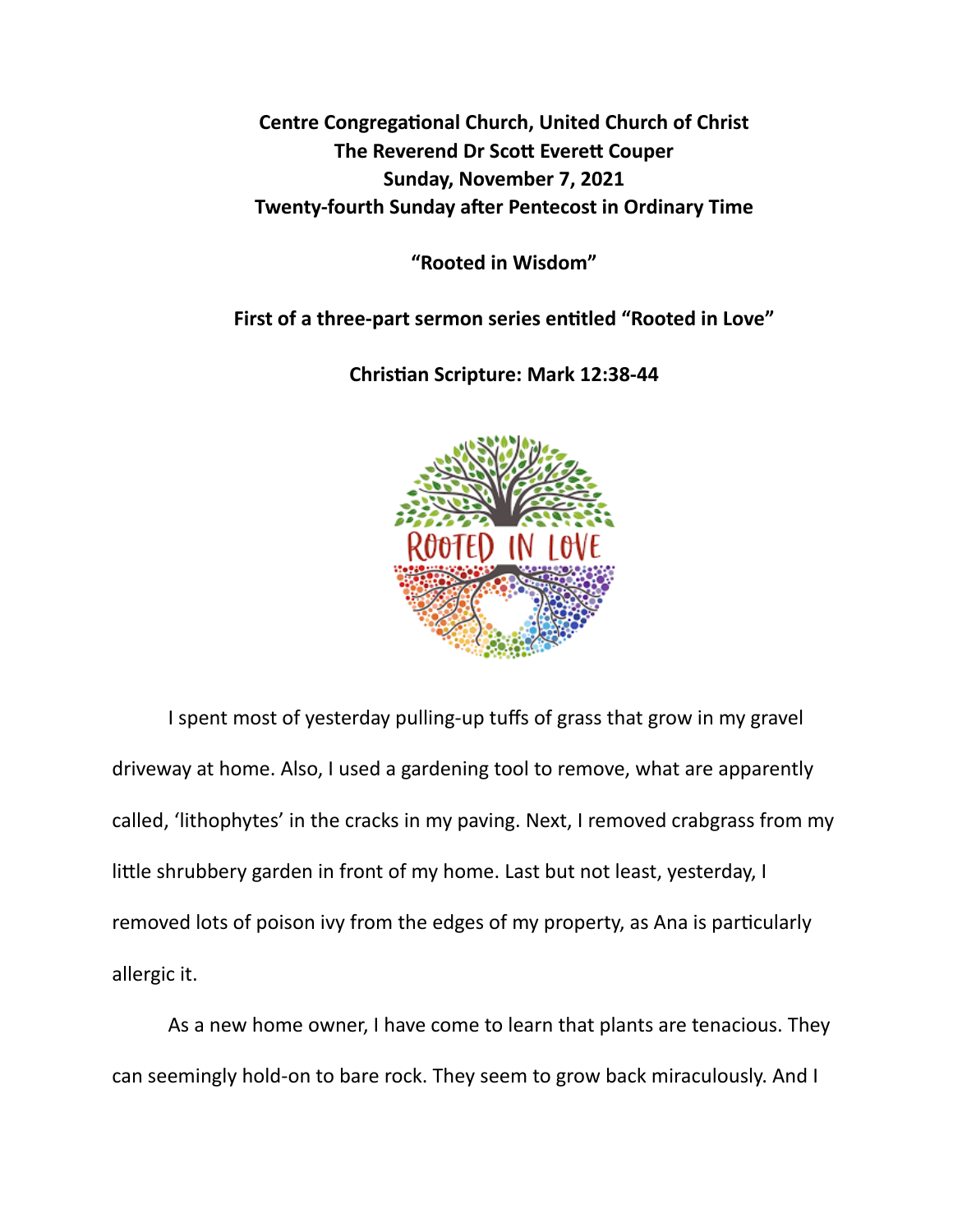**Centre Congregational Church, United Church of Christ The Reverend Dr Scott Everett Couper Sunday, November 7, 2021 Twenty-fourth Sunday after Pentecost in Ordinary Time** 

**"Rooted in Wisdom"** 

First of a three-part sermon series entitled "Rooted in Love"

**Chris\*an Scripture: Mark 12:38-44** 



I spent most of yesterday pulling-up tuffs of grass that grow in my gravel driveway at home. Also, I used a gardening tool to remove, what are apparently called, 'lithophytes' in the cracks in my paving. Next, I removed crabgrass from my little shrubbery garden in front of my home. Last but not least, yesterday, I removed lots of poison ivy from the edges of my property, as Ana is particularly allergic it.

As a new home owner, I have come to learn that plants are tenacious. They can seemingly hold-on to bare rock. They seem to grow back miraculously. And I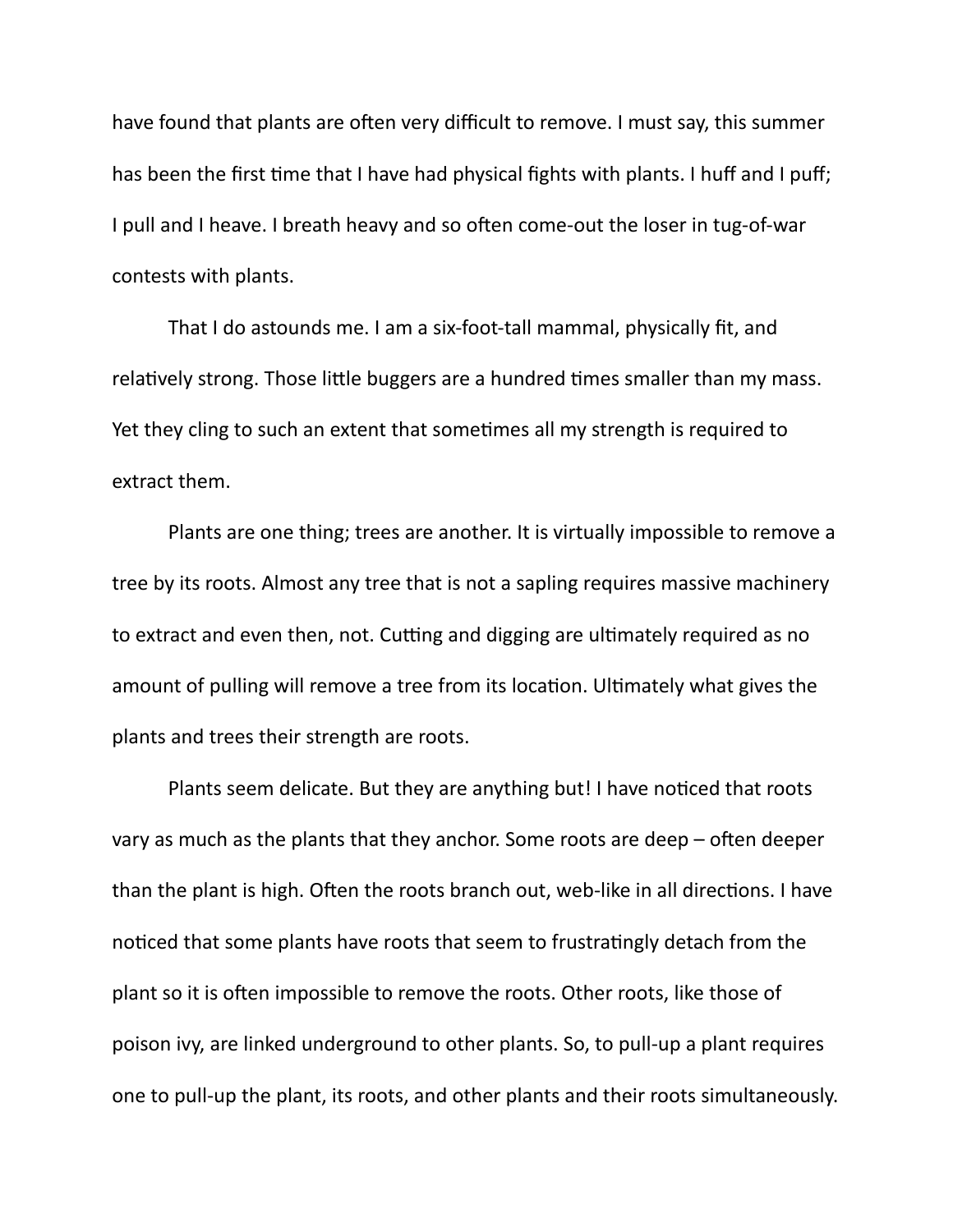have found that plants are often very difficult to remove. I must say, this summer has been the first time that I have had physical fights with plants. I huff and I puff; I pull and I heave. I breath heavy and so often come-out the loser in tug-of-war contests with plants.

That I do astounds me. I am a six-foot-tall mammal, physically fit, and relatively strong. Those little buggers are a hundred times smaller than my mass. Yet they cling to such an extent that sometimes all my strength is required to extract them.

Plants are one thing; trees are another. It is virtually impossible to remove a tree by its roots. Almost any tree that is not a sapling requires massive machinery to extract and even then, not. Cutting and digging are ultimately required as no amount of pulling will remove a tree from its location. Ultimately what gives the plants and trees their strength are roots.

Plants seem delicate. But they are anything but! I have noticed that roots vary as much as the plants that they anchor. Some roots are deep  $-$  often deeper than the plant is high. Often the roots branch out, web-like in all directions. I have noticed that some plants have roots that seem to frustratingly detach from the plant so it is often impossible to remove the roots. Other roots, like those of poison ivy, are linked underground to other plants. So, to pull-up a plant requires one to pull-up the plant, its roots, and other plants and their roots simultaneously.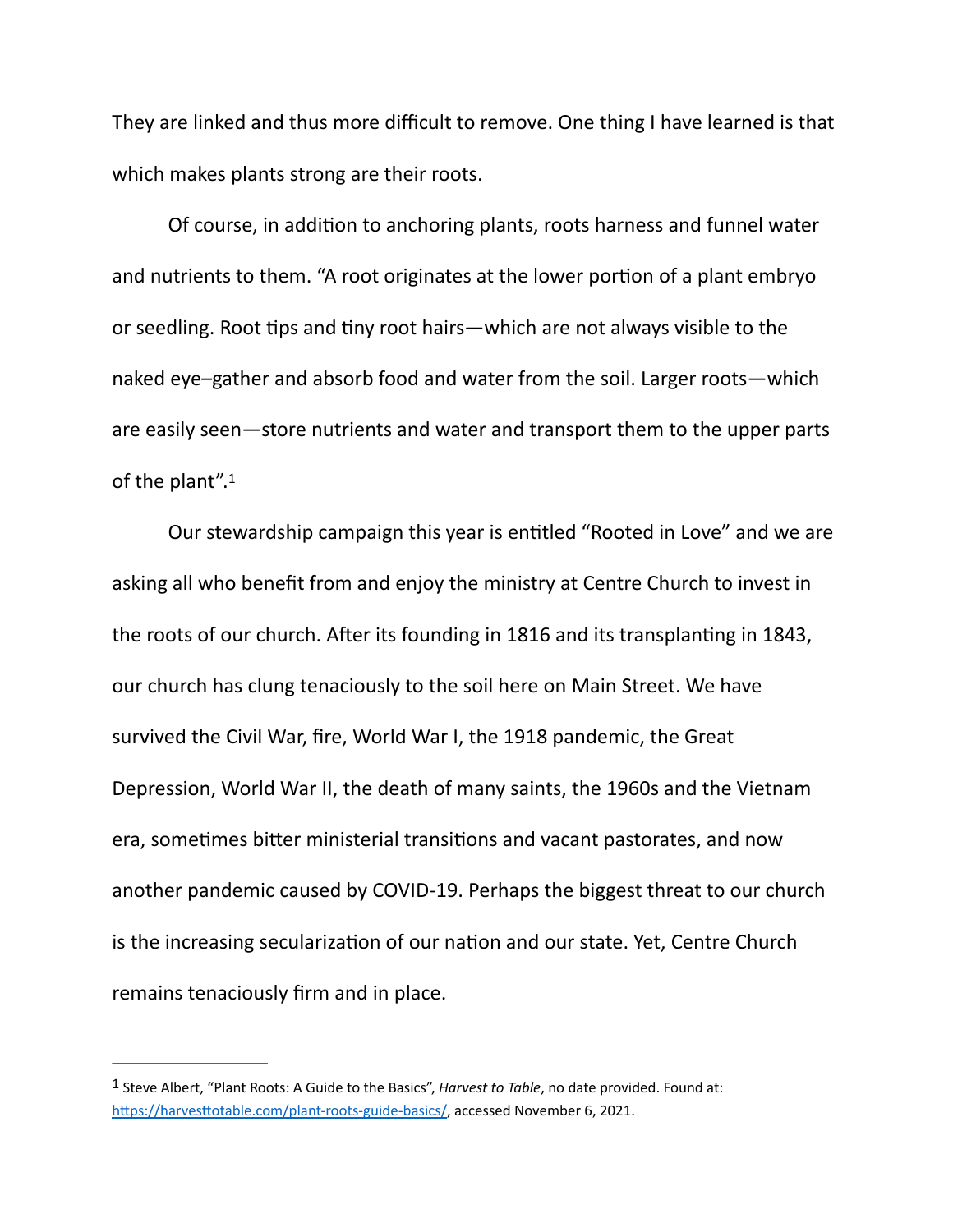They are linked and thus more difficult to remove. One thing I have learned is that which makes plants strong are their roots.

Of course, in addition to anchoring plants, roots harness and funnel water and nutrients to them. "A root originates at the lower portion of a plant embryo or seedling. Root tips and tiny root hairs—which are not always visible to the naked eye–gather and absorb food and water from the soil. Larger roots—which are easily seen—store nutrients and water and transport them to the upper parts of the plant".[1](#page-2-0)

<span id="page-2-1"></span>Our stewardship campaign this year is entitled "Rooted in Love" and we are asking all who benefit from and enjoy the ministry at Centre Church to invest in the roots of our church. After its founding in 1816 and its transplanting in 1843, our church has clung tenaciously to the soil here on Main Street. We have survived the Civil War, fire, World War I, the 1918 pandemic, the Great Depression, World War II, the death of many saints, the 1960s and the Vietnam era, sometimes bitter ministerial transitions and vacant pastorates, and now another pandemic caused by COVID-19. Perhaps the biggest threat to our church is the increasing secularization of our nation and our state. Yet, Centre Church remains tenaciously firm and in place.

<span id="page-2-0"></span><sup>&</sup>lt;sup>[1](#page-2-1)</sup> Steve Albert, "Plant Roots: A Guide to the Basics", *Harvest to Table*, no date provided. Found at: https://harvesttotable.com/plant-roots-guide-basics/, accessed November 6, 2021.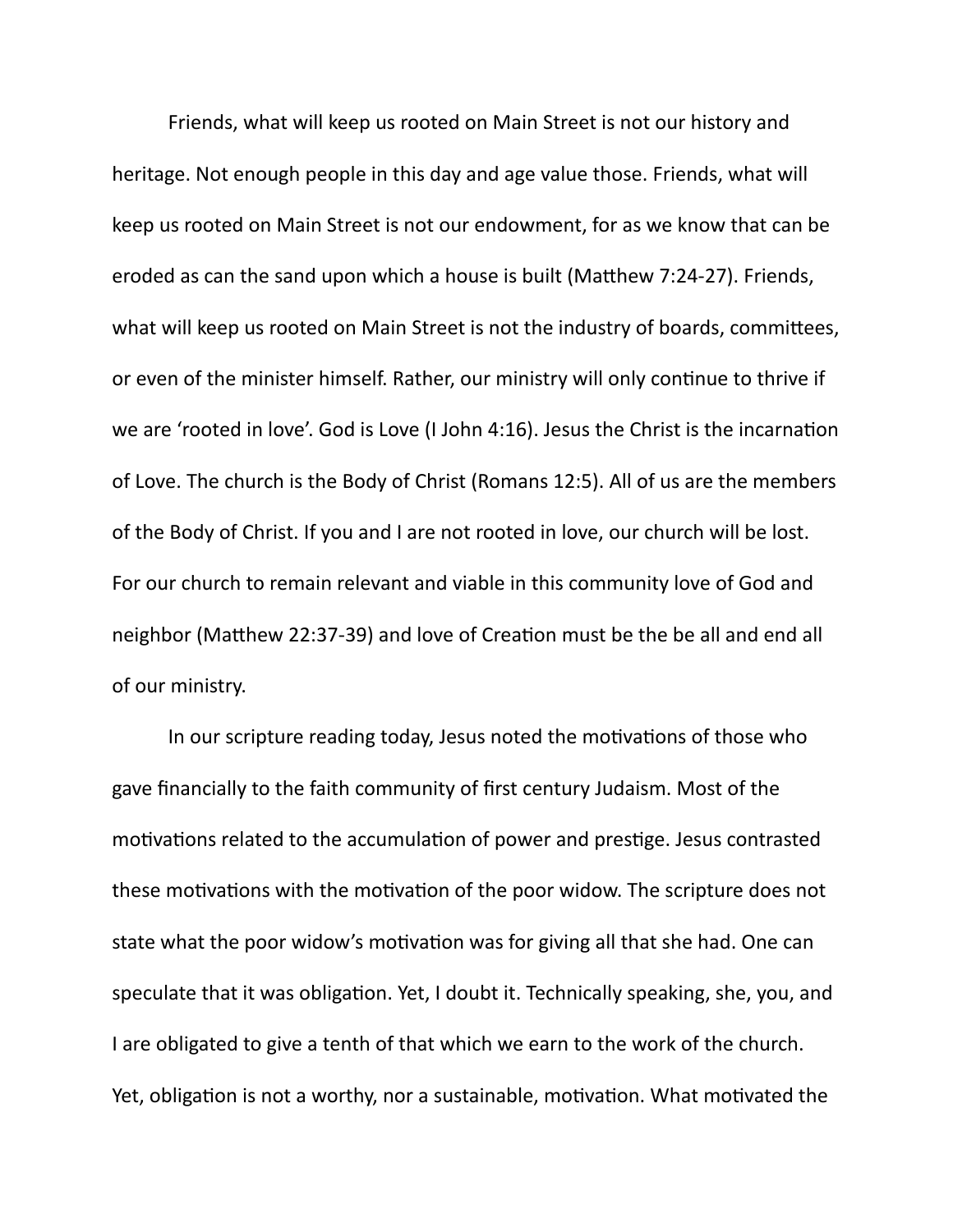Friends, what will keep us rooted on Main Street is not our history and heritage. Not enough people in this day and age value those. Friends, what will keep us rooted on Main Street is not our endowment, for as we know that can be eroded as can the sand upon which a house is built (Matthew 7:24-27). Friends, what will keep us rooted on Main Street is not the industry of boards, committees, or even of the minister himself. Rather, our ministry will only continue to thrive if we are 'rooted in love'. God is Love (I John 4:16). Jesus the Christ is the incarnation of Love. The church is the Body of Christ (Romans 12:5). All of us are the members of the Body of Christ. If you and I are not rooted in love, our church will be lost. For our church to remain relevant and viable in this community love of God and neighbor (Matthew 22:37-39) and love of Creation must be the be all and end all of our ministry.

In our scripture reading today, Jesus noted the motivations of those who gave financially to the faith community of first century Judaism. Most of the motivations related to the accumulation of power and prestige. Jesus contrasted these motivations with the motivation of the poor widow. The scripture does not state what the poor widow's motivation was for giving all that she had. One can speculate that it was obligation. Yet, I doubt it. Technically speaking, she, you, and I are obligated to give a tenth of that which we earn to the work of the church. Yet, obligation is not a worthy, nor a sustainable, motivation. What motivated the